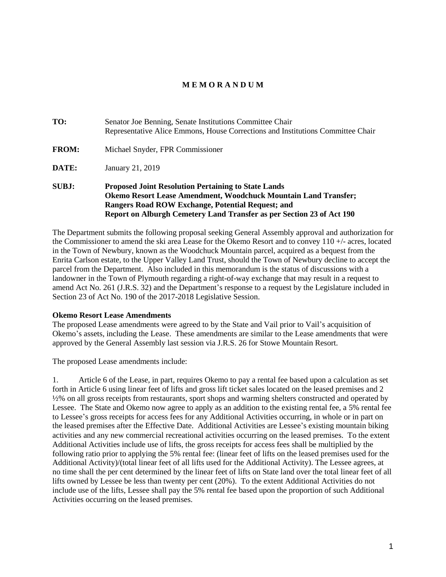# **M E M O R A N D U M**

# **TO:** Senator Joe Benning, Senate Institutions Committee Chair Representative Alice Emmons, House Corrections and Institutions Committee Chair **FROM:** Michael Snyder, FPR Commissioner **DATE:** January 21, 2019 **SUBJ: Proposed Joint Resolution Pertaining to State Lands Okemo Resort Lease Amendment, Woodchuck Mountain Land Transfer; Rangers Road ROW Exchange, Potential Request; and Report on Alburgh Cemetery Land Transfer as per Section 23 of Act 190**

The Department submits the following proposal seeking General Assembly approval and authorization for the Commissioner to amend the ski area Lease for the Okemo Resort and to convey 110 +/- acres, located in the Town of Newbury, known as the Woodchuck Mountain parcel, acquired as a bequest from the Enrita Carlson estate, to the Upper Valley Land Trust, should the Town of Newbury decline to accept the parcel from the Department. Also included in this memorandum is the status of discussions with a landowner in the Town of Plymouth regarding a right-of-way exchange that may result in a request to amend Act No. 261 (J.R.S. 32) and the Department's response to a request by the Legislature included in Section 23 of Act No. 190 of the 2017-2018 Legislative Session.

## **Okemo Resort Lease Amendments**

The proposed Lease amendments were agreed to by the State and Vail prior to Vail's acquisition of Okemo's assets, including the Lease. These amendments are similar to the Lease amendments that were approved by the General Assembly last session via J.R.S. 26 for Stowe Mountain Resort.

The proposed Lease amendments include:

1. Article 6 of the Lease, in part, requires Okemo to pay a rental fee based upon a calculation as set forth in Article 6 using linear feet of lifts and gross lift ticket sales located on the leased premises and 2 ½% on all gross receipts from restaurants, sport shops and warming shelters constructed and operated by Lessee. The State and Okemo now agree to apply as an addition to the existing rental fee, a 5% rental fee to Lessee's gross receipts for access fees for any Additional Activities occurring, in whole or in part on the leased premises after the Effective Date. Additional Activities are Lessee's existing mountain biking activities and any new commercial recreational activities occurring on the leased premises. To the extent Additional Activities include use of lifts, the gross receipts for access fees shall be multiplied by the following ratio prior to applying the 5% rental fee: (linear feet of lifts on the leased premises used for the Additional Activity)/(total linear feet of all lifts used for the Additional Activity). The Lessee agrees, at no time shall the per cent determined by the linear feet of lifts on State land over the total linear feet of all lifts owned by Lessee be less than twenty per cent (20%). To the extent Additional Activities do not include use of the lifts, Lessee shall pay the 5% rental fee based upon the proportion of such Additional Activities occurring on the leased premises.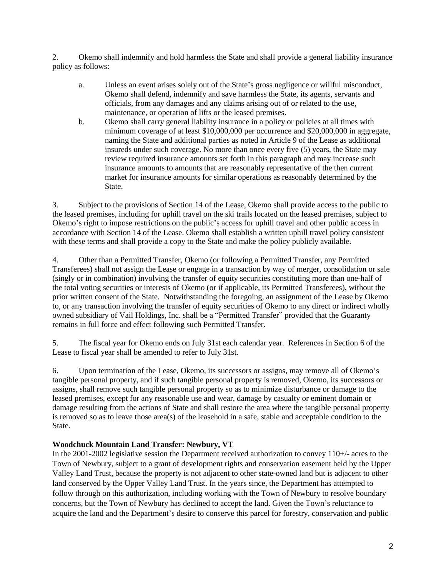2. Okemo shall indemnify and hold harmless the State and shall provide a general liability insurance policy as follows:

- a. Unless an event arises solely out of the State's gross negligence or willful misconduct, Okemo shall defend, indemnify and save harmless the State, its agents, servants and officials, from any damages and any claims arising out of or related to the use, maintenance, or operation of lifts or the leased premises.
- b. Okemo shall carry general liability insurance in a policy or policies at all times with minimum coverage of at least \$10,000,000 per occurrence and \$20,000,000 in aggregate, naming the State and additional parties as noted in Article 9 of the Lease as additional insureds under such coverage. No more than once every five (5) years, the State may review required insurance amounts set forth in this paragraph and may increase such insurance amounts to amounts that are reasonably representative of the then current market for insurance amounts for similar operations as reasonably determined by the State.

3. Subject to the provisions of Section 14 of the Lease, Okemo shall provide access to the public to the leased premises, including for uphill travel on the ski trails located on the leased premises, subject to Okemo's right to impose restrictions on the public's access for uphill travel and other public access in accordance with Section 14 of the Lease. Okemo shall establish a written uphill travel policy consistent with these terms and shall provide a copy to the State and make the policy publicly available.

4. Other than a Permitted Transfer, Okemo (or following a Permitted Transfer, any Permitted Transferees) shall not assign the Lease or engage in a transaction by way of merger, consolidation or sale (singly or in combination) involving the transfer of equity securities constituting more than one-half of the total voting securities or interests of Okemo (or if applicable, its Permitted Transferees), without the prior written consent of the State. Notwithstanding the foregoing, an assignment of the Lease by Okemo to, or any transaction involving the transfer of equity securities of Okemo to any direct or indirect wholly owned subsidiary of Vail Holdings, Inc. shall be a "Permitted Transfer" provided that the Guaranty remains in full force and effect following such Permitted Transfer.

5. The fiscal year for Okemo ends on July 31st each calendar year. References in Section 6 of the Lease to fiscal year shall be amended to refer to July 31st.

6. Upon termination of the Lease, Okemo, its successors or assigns, may remove all of Okemo's tangible personal property, and if such tangible personal property is removed, Okemo, its successors or assigns, shall remove such tangible personal property so as to minimize disturbance or damage to the leased premises, except for any reasonable use and wear, damage by casualty or eminent domain or damage resulting from the actions of State and shall restore the area where the tangible personal property is removed so as to leave those area(s) of the leasehold in a safe, stable and acceptable condition to the State.

# **Woodchuck Mountain Land Transfer: Newbury, VT**

In the 2001-2002 legislative session the Department received authorization to convey 110+/- acres to the Town of Newbury, subject to a grant of development rights and conservation easement held by the Upper Valley Land Trust, because the property is not adjacent to other state-owned land but is adjacent to other land conserved by the Upper Valley Land Trust. In the years since, the Department has attempted to follow through on this authorization, including working with the Town of Newbury to resolve boundary concerns, but the Town of Newbury has declined to accept the land. Given the Town's reluctance to acquire the land and the Department's desire to conserve this parcel for forestry, conservation and public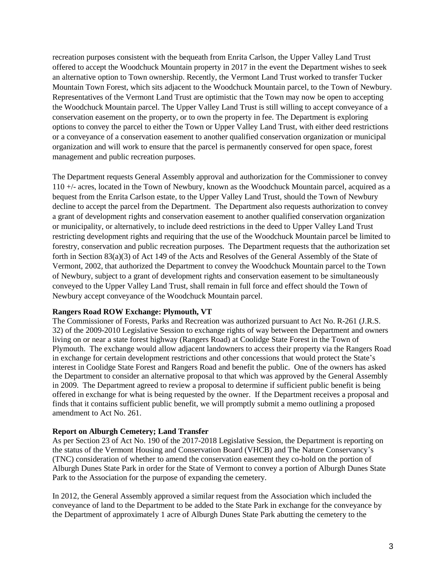recreation purposes consistent with the bequeath from Enrita Carlson, the Upper Valley Land Trust offered to accept the Woodchuck Mountain property in 2017 in the event the Department wishes to seek an alternative option to Town ownership. Recently, the Vermont Land Trust worked to transfer Tucker Mountain Town Forest, which sits adjacent to the Woodchuck Mountain parcel, to the Town of Newbury. Representatives of the Vermont Land Trust are optimistic that the Town may now be open to accepting the Woodchuck Mountain parcel. The Upper Valley Land Trust is still willing to accept conveyance of a conservation easement on the property, or to own the property in fee. The Department is exploring options to convey the parcel to either the Town or Upper Valley Land Trust, with either deed restrictions or a conveyance of a conservation easement to another qualified conservation organization or municipal organization and will work to ensure that the parcel is permanently conserved for open space, forest management and public recreation purposes.

The Department requests General Assembly approval and authorization for the Commissioner to convey 110 +/- acres, located in the Town of Newbury, known as the Woodchuck Mountain parcel, acquired as a bequest from the Enrita Carlson estate, to the Upper Valley Land Trust, should the Town of Newbury decline to accept the parcel from the Department. The Department also requests authorization to convey a grant of development rights and conservation easement to another qualified conservation organization or municipality, or alternatively, to include deed restrictions in the deed to Upper Valley Land Trust restricting development rights and requiring that the use of the Woodchuck Mountain parcel be limited to forestry, conservation and public recreation purposes. The Department requests that the authorization set forth in Section 83(a)(3) of Act 149 of the Acts and Resolves of the General Assembly of the State of Vermont, 2002, that authorized the Department to convey the Woodchuck Mountain parcel to the Town of Newbury, subject to a grant of development rights and conservation easement to be simultaneously conveyed to the Upper Valley Land Trust, shall remain in full force and effect should the Town of Newbury accept conveyance of the Woodchuck Mountain parcel.

## **Rangers Road ROW Exchange: Plymouth, VT**

The Commissioner of Forests, Parks and Recreation was authorized pursuant to Act No. R-261 (J.R.S. 32) of the 2009-2010 Legislative Session to exchange rights of way between the Department and owners living on or near a state forest highway (Rangers Road) at Coolidge State Forest in the Town of Plymouth. The exchange would allow adjacent landowners to access their property via the Rangers Road in exchange for certain development restrictions and other concessions that would protect the State's interest in Coolidge State Forest and Rangers Road and benefit the public. One of the owners has asked the Department to consider an alternative proposal to that which was approved by the General Assembly in 2009. The Department agreed to review a proposal to determine if sufficient public benefit is being offered in exchange for what is being requested by the owner. If the Department receives a proposal and finds that it contains sufficient public benefit, we will promptly submit a memo outlining a proposed amendment to Act No. 261.

#### **Report on Alburgh Cemetery; Land Transfer**

As per Section 23 of Act No. 190 of the 2017-2018 Legislative Session, the Department is reporting on the status of the Vermont Housing and Conservation Board (VHCB) and The Nature Conservancy's (TNC) consideration of whether to amend the conservation easement they co-hold on the portion of Alburgh Dunes State Park in order for the State of Vermont to convey a portion of Alburgh Dunes State Park to the Association for the purpose of expanding the cemetery.

In 2012, the General Assembly approved a similar request from the Association which included the conveyance of land to the Department to be added to the State Park in exchange for the conveyance by the Department of approximately 1 acre of Alburgh Dunes State Park abutting the cemetery to the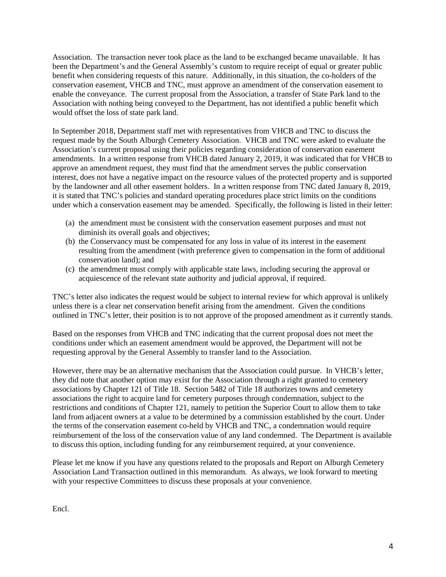Association. The transaction never took place as the land to be exchanged became unavailable. It has been the Department's and the General Assembly's custom to require receipt of equal or greater public benefit when considering requests of this nature. Additionally, in this situation, the co-holders of the conservation easement, VHCB and TNC, must approve an amendment of the conservation easement to enable the conveyance. The current proposal from the Association, a transfer of State Park land to the Association with nothing being conveyed to the Department, has not identified a public benefit which would offset the loss of state park land.

In September 2018, Department staff met with representatives from VHCB and TNC to discuss the request made by the South Alburgh Cemetery Association. VHCB and TNC were asked to evaluate the Association's current proposal using their policies regarding consideration of conservation easement amendments. In a written response from VHCB dated January 2, 2019, it was indicated that for VHCB to approve an amendment request, they must find that the amendment serves the public conservation interest, does not have a negative impact on the resource values of the protected property and is supported by the landowner and all other easement holders. In a written response from TNC dated January 8, 2019, it is stated that TNC's policies and standard operating procedures place strict limits on the conditions under which a conservation easement may be amended. Specifically, the following is listed in their letter:

- (a) the amendment must be consistent with the conservation easement purposes and must not diminish its overall goals and objectives;
- (b) the Conservancy must be compensated for any loss in value of its interest in the easement resulting from the amendment (with preference given to compensation in the form of additional conservation land); and
- (c) the amendment must comply with applicable state laws, including securing the approval or acquiescence of the relevant state authority and judicial approval, if required.

TNC's letter also indicates the request would be subject to internal review for which approval is unlikely unless there is a clear net conservation benefit arising from the amendment. Given the conditions outlined in TNC's letter, their position is to not approve of the proposed amendment as it currently stands.

Based on the responses from VHCB and TNC indicating that the current proposal does not meet the conditions under which an easement amendment would be approved, the Department will not be requesting approval by the General Assembly to transfer land to the Association.

However, there may be an alternative mechanism that the Association could pursue. In VHCB's letter, they did note that another option may exist for the Association through a right granted to cemetery associations by Chapter 121 of Title 18. Section 5482 of Title 18 authorizes towns and cemetery associations the right to acquire land for cemetery purposes through condemnation, subject to the restrictions and conditions of Chapter 121, namely to petition the Superior Court to allow them to take land from adjacent owners at a value to be determined by a commission established by the court. Under the terms of the conservation easement co-held by VHCB and TNC, a condemnation would require reimbursement of the loss of the conservation value of any land condemned. The Department is available to discuss this option, including funding for any reimbursement required, at your convenience.

Please let me know if you have any questions related to the proposals and Report on Alburgh Cemetery Association Land Transaction outlined in this memorandum. As always, we look forward to meeting with your respective Committees to discuss these proposals at your convenience.

Encl.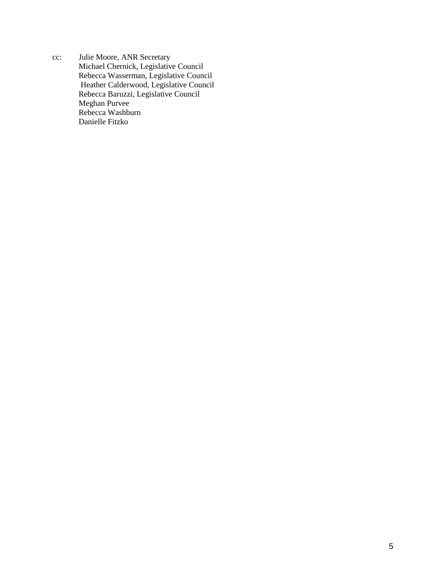cc: Julie Moore, ANR Secretary Michael Chernick, Legislative Council Rebecca Wasserman, Legislative Council Heather Calderwood, Legislative Council Rebecca Baruzzi, Legislative Council Meghan Purvee Rebecca Washburn Danielle Fitzko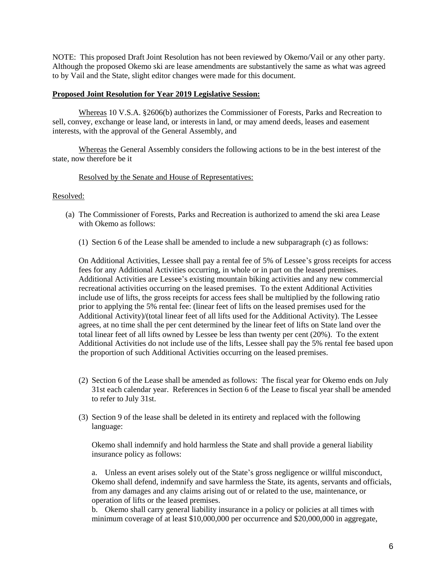NOTE: This proposed Draft Joint Resolution has not been reviewed by Okemo/Vail or any other party. Although the proposed Okemo ski are lease amendments are substantively the same as what was agreed to by Vail and the State, slight editor changes were made for this document.

### **Proposed Joint Resolution for Year 2019 Legislative Session:**

Whereas 10 V.S.A. §2606(b) authorizes the Commissioner of Forests, Parks and Recreation to sell, convey, exchange or lease land, or interests in land, or may amend deeds, leases and easement interests, with the approval of the General Assembly, and

Whereas the General Assembly considers the following actions to be in the best interest of the state, now therefore be it

#### Resolved by the Senate and House of Representatives:

#### Resolved:

- (a) The Commissioner of Forests, Parks and Recreation is authorized to amend the ski area Lease with Okemo as follows:
	- (1) Section 6 of the Lease shall be amended to include a new subparagraph (c) as follows:

On Additional Activities, Lessee shall pay a rental fee of 5% of Lessee's gross receipts for access fees for any Additional Activities occurring, in whole or in part on the leased premises. Additional Activities are Lessee's existing mountain biking activities and any new commercial recreational activities occurring on the leased premises. To the extent Additional Activities include use of lifts, the gross receipts for access fees shall be multiplied by the following ratio prior to applying the 5% rental fee: (linear feet of lifts on the leased premises used for the Additional Activity)/(total linear feet of all lifts used for the Additional Activity). The Lessee agrees, at no time shall the per cent determined by the linear feet of lifts on State land over the total linear feet of all lifts owned by Lessee be less than twenty per cent (20%). To the extent Additional Activities do not include use of the lifts, Lessee shall pay the 5% rental fee based upon the proportion of such Additional Activities occurring on the leased premises.

- (2) Section 6 of the Lease shall be amended as follows: The fiscal year for Okemo ends on July 31st each calendar year. References in Section 6 of the Lease to fiscal year shall be amended to refer to July 31st.
- (3) Section 9 of the lease shall be deleted in its entirety and replaced with the following language:

Okemo shall indemnify and hold harmless the State and shall provide a general liability insurance policy as follows:

a. Unless an event arises solely out of the State's gross negligence or willful misconduct, Okemo shall defend, indemnify and save harmless the State, its agents, servants and officials, from any damages and any claims arising out of or related to the use, maintenance, or operation of lifts or the leased premises.

b. Okemo shall carry general liability insurance in a policy or policies at all times with minimum coverage of at least \$10,000,000 per occurrence and \$20,000,000 in aggregate,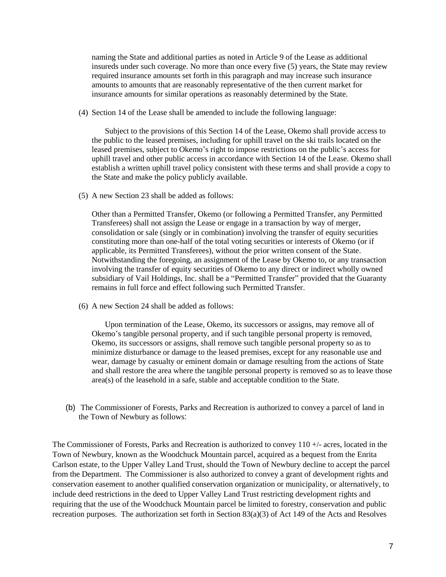naming the State and additional parties as noted in Article 9 of the Lease as additional insureds under such coverage. No more than once every five (5) years, the State may review required insurance amounts set forth in this paragraph and may increase such insurance amounts to amounts that are reasonably representative of the then current market for insurance amounts for similar operations as reasonably determined by the State.

(4) Section 14 of the Lease shall be amended to include the following language:

Subject to the provisions of this Section 14 of the Lease, Okemo shall provide access to the public to the leased premises, including for uphill travel on the ski trails located on the leased premises, subject to Okemo's right to impose restrictions on the public's access for uphill travel and other public access in accordance with Section 14 of the Lease. Okemo shall establish a written uphill travel policy consistent with these terms and shall provide a copy to the State and make the policy publicly available.

(5) A new Section 23 shall be added as follows:

Other than a Permitted Transfer, Okemo (or following a Permitted Transfer, any Permitted Transferees) shall not assign the Lease or engage in a transaction by way of merger, consolidation or sale (singly or in combination) involving the transfer of equity securities constituting more than one-half of the total voting securities or interests of Okemo (or if applicable, its Permitted Transferees), without the prior written consent of the State. Notwithstanding the foregoing, an assignment of the Lease by Okemo to, or any transaction involving the transfer of equity securities of Okemo to any direct or indirect wholly owned subsidiary of Vail Holdings, Inc. shall be a "Permitted Transfer" provided that the Guaranty remains in full force and effect following such Permitted Transfer.

(6) A new Section 24 shall be added as follows:

Upon termination of the Lease, Okemo, its successors or assigns, may remove all of Okemo's tangible personal property, and if such tangible personal property is removed, Okemo, its successors or assigns, shall remove such tangible personal property so as to minimize disturbance or damage to the leased premises, except for any reasonable use and wear, damage by casualty or eminent domain or damage resulting from the actions of State and shall restore the area where the tangible personal property is removed so as to leave those area(s) of the leasehold in a safe, stable and acceptable condition to the State.

(b) The Commissioner of Forests, Parks and Recreation is authorized to convey a parcel of land in the Town of Newbury as follows:

The Commissioner of Forests, Parks and Recreation is authorized to convey 110 +/- acres, located in the Town of Newbury, known as the Woodchuck Mountain parcel, acquired as a bequest from the Enrita Carlson estate, to the Upper Valley Land Trust, should the Town of Newbury decline to accept the parcel from the Department. The Commissioner is also authorized to convey a grant of development rights and conservation easement to another qualified conservation organization or municipality, or alternatively, to include deed restrictions in the deed to Upper Valley Land Trust restricting development rights and requiring that the use of the Woodchuck Mountain parcel be limited to forestry, conservation and public recreation purposes. The authorization set forth in Section  $83(a)(3)$  of Act 149 of the Acts and Resolves